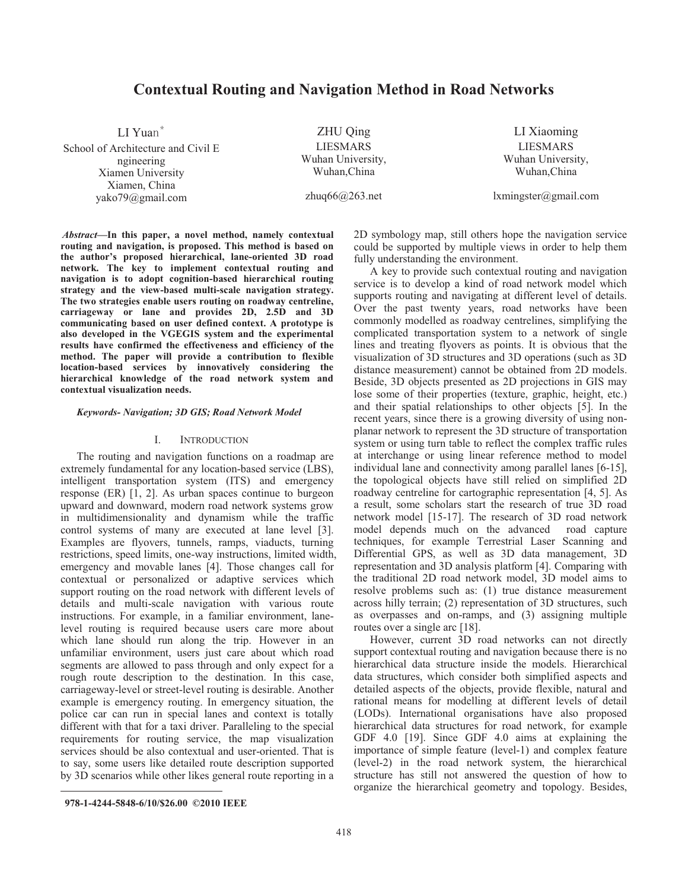# **Contextual Routing and Navigation Method in Road Networks**

LI Yuan $*$ School of Architecture and Civil E ngineering Xiamen University Xiamen, China yako79@gmail.com

ZHU Qing LIESMARS Wuhan University, Wuhan,China

LI Xiaoming LIESMARS Wuhan University, Wuhan,China

zhuq66@263.net

lxmingster@gmail.com

*Abstract***—In this paper, a novel method, namely contextual routing and navigation, is proposed. This method is based on the author's proposed hierarchical, lane-oriented 3D road network. The key to implement contextual routing and navigation is to adopt cognition-based hierarchical routing strategy and the view-based multi-scale navigation strategy. The two strategies enable users routing on roadway centreline, carriageway or lane and provides 2D, 2.5D and 3D communicating based on user defined context. A prototype is also developed in the VGEGIS system and the experimental results have confirmed the effectiveness and efficiency of the method. The paper will provide a contribution to flexible location-based services by innovatively considering the hierarchical knowledge of the road network system and contextual visualization needs.** 

#### *Keywords- Navigation; 3D GIS; Road Network Model*

## I. INTRODUCTION

The routing and navigation functions on a roadmap are extremely fundamental for any location-based service (LBS), intelligent transportation system (ITS) and emergency response (ER) [1, 2]. As urban spaces continue to burgeon upward and downward, modern road network systems grow in multidimensionality and dynamism while the traffic control systems of many are executed at lane level [3]. Examples are flyovers, tunnels, ramps, viaducts, turning restrictions, speed limits, one-way instructions, limited width, emergency and movable lanes [4]. Those changes call for contextual or personalized or adaptive services which support routing on the road network with different levels of details and multi-scale navigation with various route instructions. For example, in a familiar environment, lanelevel routing is required because users care more about which lane should run along the trip. However in an unfamiliar environment, users just care about which road segments are allowed to pass through and only expect for a rough route description to the destination. In this case, carriageway-level or street-level routing is desirable. Another example is emergency routing. In emergency situation, the police car can run in special lanes and context is totally different with that for a taxi driver. Paralleling to the special requirements for routing service, the map visualization services should be also contextual and user-oriented. That is to say, some users like detailed route description supported by 3D scenarios while other likes general route reporting in a

2D symbology map, still others hope the navigation service could be supported by multiple views in order to help them fully understanding the environment.

A key to provide such contextual routing and navigation service is to develop a kind of road network model which supports routing and navigating at different level of details. Over the past twenty years, road networks have been commonly modelled as roadway centrelines, simplifying the complicated transportation system to a network of single lines and treating flyovers as points. It is obvious that the visualization of 3D structures and 3D operations (such as 3D distance measurement) cannot be obtained from 2D models. Beside, 3D objects presented as 2D projections in GIS may lose some of their properties (texture, graphic, height, etc.) and their spatial relationships to other objects [5]. In the recent years, since there is a growing diversity of using nonplanar network to represent the 3D structure of transportation system or using turn table to reflect the complex traffic rules at interchange or using linear reference method to model individual lane and connectivity among parallel lanes [6-15], the topological objects have still relied on simplified 2D roadway centreline for cartographic representation [4, 5]. As a result, some scholars start the research of true 3D road network model [15-17]. The research of 3D road network model depends much on the advanced road capture techniques, for example Terrestrial Laser Scanning and Differential GPS, as well as 3D data management, 3D representation and 3D analysis platform [4]. Comparing with the traditional 2D road network model, 3D model aims to resolve problems such as: (1) true distance measurement across hilly terrain; (2) representation of 3D structures, such as overpasses and on-ramps, and (3) assigning multiple routes over a single arc [18].

However, current 3D road networks can not directly support contextual routing and navigation because there is no hierarchical data structure inside the models. Hierarchical data structures, which consider both simplified aspects and detailed aspects of the objects, provide flexible, natural and rational means for modelling at different levels of detail (LODs). International organisations have also proposed hierarchical data structures for road network, for example GDF 4.0 [19]. Since GDF 4.0 aims at explaining the importance of simple feature (level-1) and complex feature (level-2) in the road network system, the hierarchical structure has still not answered the question of how to organize the hierarchical geometry and topology. Besides,

**<sup>978-1-4244-5848-6/10/\$26.00 ©2010</sup> IEEE**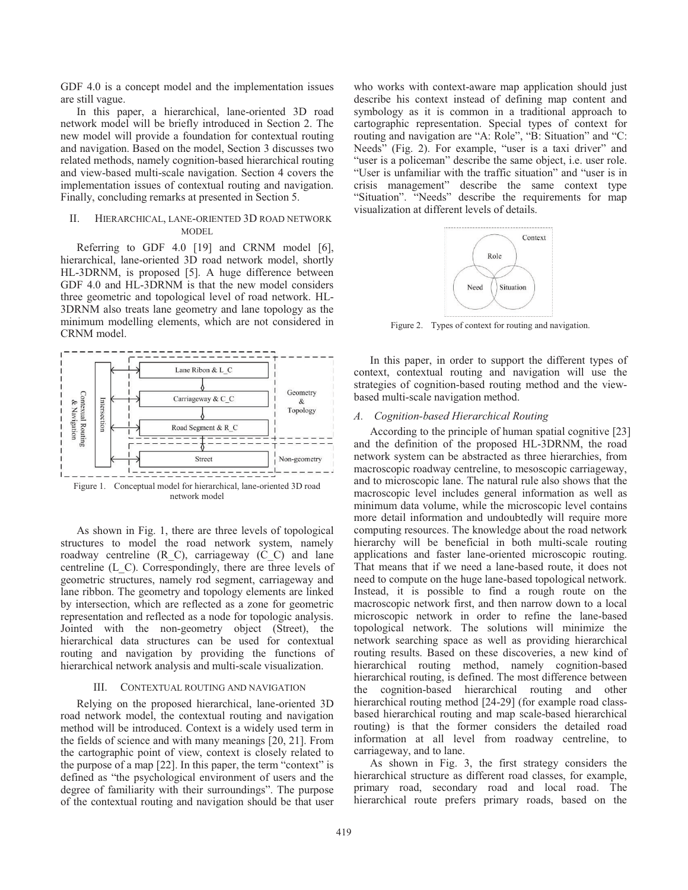GDF 4.0 is a concept model and the implementation issues are still vague.

In this paper, a hierarchical, lane-oriented 3D road network model will be briefly introduced in Section 2. The new model will provide a foundation for contextual routing and navigation. Based on the model, Section 3 discusses two related methods, namely cognition-based hierarchical routing and view-based multi-scale navigation. Section 4 covers the implementation issues of contextual routing and navigation. Finally, concluding remarks at presented in Section 5.

## II. HIERARCHICAL, LANE-ORIENTED 3D ROAD NETWORK MODEL

Referring to GDF 4.0 [19] and CRNM model [6], hierarchical, lane-oriented 3D road network model, shortly HL-3DRNM, is proposed [5]. A huge difference between GDF 4.0 and HL-3DRNM is that the new model considers three geometric and topological level of road network. HL-3DRNM also treats lane geometry and lane topology as the minimum modelling elements, which are not considered in CRNM model.



network model

As shown in Fig. 1, there are three levels of topological structures to model the road network system, namely roadway centreline (R\_C), carriageway (C\_C) and lane centreline (L\_C). Correspondingly, there are three levels of geometric structures, namely rod segment, carriageway and lane ribbon. The geometry and topology elements are linked by intersection, which are reflected as a zone for geometric representation and reflected as a node for topologic analysis. Jointed with the non-geometry object (Street), the hierarchical data structures can be used for contextual routing and navigation by providing the functions of hierarchical network analysis and multi-scale visualization.

## III. CONTEXTUAL ROUTING AND NAVIGATION

Relying on the proposed hierarchical, lane-oriented 3D road network model, the contextual routing and navigation method will be introduced. Context is a widely used term in the fields of science and with many meanings [20, 21]. From the cartographic point of view, context is closely related to the purpose of a map [22]. In this paper, the term "context" is defined as "the psychological environment of users and the degree of familiarity with their surroundings". The purpose of the contextual routing and navigation should be that user who works with context-aware map application should just describe his context instead of defining map content and symbology as it is common in a traditional approach to cartographic representation. Special types of context for routing and navigation are "A: Role", "B: Situation" and "C: Needs" (Fig. 2). For example, "user is a taxi driver" and "user is a policeman" describe the same object, i.e. user role. "User is unfamiliar with the traffic situation" and "user is in crisis management" describe the same context type "Situation". "Needs" describe the requirements for map visualization at different levels of details.



Figure 2. Types of context for routing and navigation.

In this paper, in order to support the different types of context, contextual routing and navigation will use the strategies of cognition-based routing method and the viewbased multi-scale navigation method.

## *A. Cognition-based Hierarchical Routing*

According to the principle of human spatial cognitive [23] and the definition of the proposed HL-3DRNM, the road network system can be abstracted as three hierarchies, from macroscopic roadway centreline, to mesoscopic carriageway, and to microscopic lane. The natural rule also shows that the macroscopic level includes general information as well as minimum data volume, while the microscopic level contains more detail information and undoubtedly will require more computing resources. The knowledge about the road network hierarchy will be beneficial in both multi-scale routing applications and faster lane-oriented microscopic routing. That means that if we need a lane-based route, it does not need to compute on the huge lane-based topological network. Instead, it is possible to find a rough route on the macroscopic network first, and then narrow down to a local microscopic network in order to refine the lane-based topological network. The solutions will minimize the network searching space as well as providing hierarchical routing results. Based on these discoveries, a new kind of hierarchical routing method, namely cognition-based hierarchical routing, is defined. The most difference between the cognition-based hierarchical routing and other hierarchical routing method [24-29] (for example road classbased hierarchical routing and map scale-based hierarchical routing) is that the former considers the detailed road information at all level from roadway centreline, to carriageway, and to lane.

As shown in Fig. 3, the first strategy considers the hierarchical structure as different road classes, for example, primary road, secondary road and local road. The hierarchical route prefers primary roads, based on the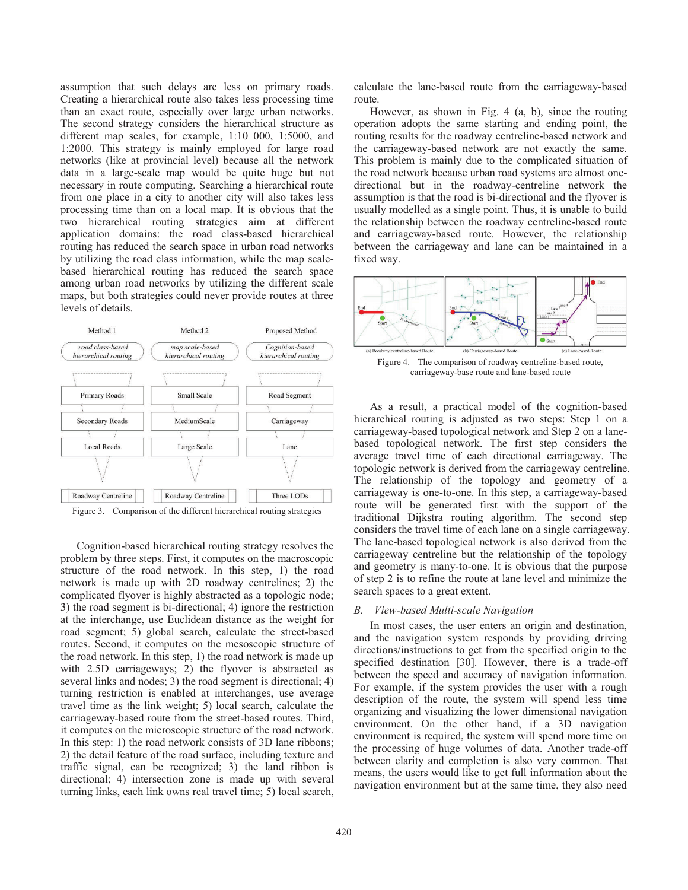assumption that such delays are less on primary roads. Creating a hierarchical route also takes less processing time than an exact route, especially over large urban networks. The second strategy considers the hierarchical structure as different map scales, for example, 1:10 000, 1:5000, and 1:2000. This strategy is mainly employed for large road networks (like at provincial level) because all the network data in a large-scale map would be quite huge but not necessary in route computing. Searching a hierarchical route from one place in a city to another city will also takes less processing time than on a local map. It is obvious that the two hierarchical routing strategies aim at different application domains: the road class-based hierarchical routing has reduced the search space in urban road networks by utilizing the road class information, while the map scalebased hierarchical routing has reduced the search space among urban road networks by utilizing the different scale maps, but both strategies could never provide routes at three levels of details.



Figure 3. Comparison of the different hierarchical routing strategies

Cognition-based hierarchical routing strategy resolves the problem by three steps. First, it computes on the macroscopic structure of the road network. In this step, 1) the road network is made up with 2D roadway centrelines; 2) the complicated flyover is highly abstracted as a topologic node; 3) the road segment is bi-directional; 4) ignore the restriction at the interchange, use Euclidean distance as the weight for road segment; 5) global search, calculate the street-based routes. Second, it computes on the mesoscopic structure of the road network. In this step, 1) the road network is made up with 2.5D carriageways; 2) the flyover is abstracted as several links and nodes; 3) the road segment is directional; 4) turning restriction is enabled at interchanges, use average travel time as the link weight; 5) local search, calculate the carriageway-based route from the street-based routes. Third, it computes on the microscopic structure of the road network. In this step: 1) the road network consists of 3D lane ribbons; 2) the detail feature of the road surface, including texture and traffic signal, can be recognized; 3) the land ribbon is directional; 4) intersection zone is made up with several turning links, each link owns real travel time; 5) local search,

calculate the lane-based route from the carriageway-based route.

However, as shown in Fig. 4 (a, b), since the routing operation adopts the same starting and ending point, the routing results for the roadway centreline-based network and the carriageway-based network are not exactly the same. This problem is mainly due to the complicated situation of the road network because urban road systems are almost onedirectional but in the roadway-centreline network the assumption is that the road is bi-directional and the flyover is usually modelled as a single point. Thus, it is unable to build the relationship between the roadway centreline-based route and carriageway-based route. However, the relationship between the carriageway and lane can be maintained in a fixed way.



As a result, a practical model of the cognition-based hierarchical routing is adjusted as two steps: Step 1 on a carriageway-based topological network and Step 2 on a lanebased topological network. The first step considers the average travel time of each directional carriageway. The topologic network is derived from the carriageway centreline. The relationship of the topology and geometry of a carriageway is one-to-one. In this step, a carriageway-based route will be generated first with the support of the traditional Dijkstra routing algorithm. The second step considers the travel time of each lane on a single carriageway. The lane-based topological network is also derived from the carriageway centreline but the relationship of the topology and geometry is many-to-one. It is obvious that the purpose of step 2 is to refine the route at lane level and minimize the search spaces to a great extent.

## *B. View-based Multi-scale Navigation*

In most cases, the user enters an origin and destination, and the navigation system responds by providing driving directions/instructions to get from the specified origin to the specified destination [30]. However, there is a trade-off between the speed and accuracy of navigation information. For example, if the system provides the user with a rough description of the route, the system will spend less time organizing and visualizing the lower dimensional navigation environment. On the other hand, if a 3D navigation environment is required, the system will spend more time on the processing of huge volumes of data. Another trade-off between clarity and completion is also very common. That means, the users would like to get full information about the navigation environment but at the same time, they also need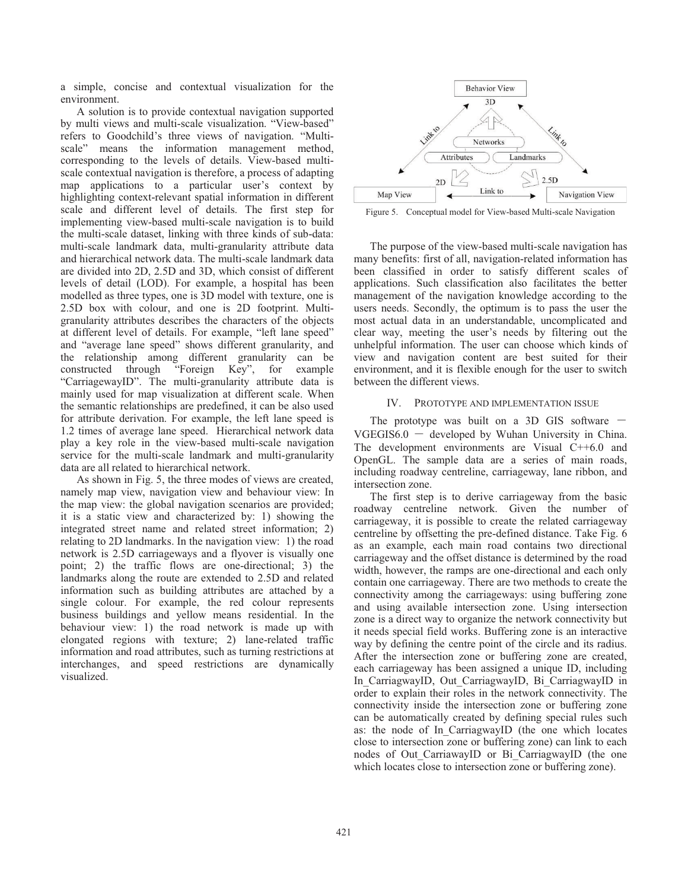a simple, concise and contextual visualization for the environment.

A solution is to provide contextual navigation supported by multi views and multi-scale visualization. "View-based" refers to Goodchild's three views of navigation. "Multiscale" means the information management method, corresponding to the levels of details. View-based multiscale contextual navigation is therefore, a process of adapting map applications to a particular user's context by highlighting context-relevant spatial information in different scale and different level of details. The first step for implementing view-based multi-scale navigation is to build the multi-scale dataset, linking with three kinds of sub-data: multi-scale landmark data, multi-granularity attribute data and hierarchical network data. The multi-scale landmark data are divided into 2D, 2.5D and 3D, which consist of different levels of detail (LOD). For example, a hospital has been modelled as three types, one is 3D model with texture, one is 2.5D box with colour, and one is 2D footprint. Multigranularity attributes describes the characters of the objects at different level of details. For example, "left lane speed" and "average lane speed" shows different granularity, and the relationship among different granularity can be constructed through "Foreign Key", for example "CarriagewayID". The multi-granularity attribute data is mainly used for map visualization at different scale. When the semantic relationships are predefined, it can be also used for attribute derivation. For example, the left lane speed is 1.2 times of average lane speed. Hierarchical network data play a key role in the view-based multi-scale navigation service for the multi-scale landmark and multi-granularity data are all related to hierarchical network.

As shown in Fig. 5, the three modes of views are created, namely map view, navigation view and behaviour view: In the map view: the global navigation scenarios are provided; it is a static view and characterized by: 1) showing the integrated street name and related street information; 2) relating to 2D landmarks. In the navigation view: 1) the road network is 2.5D carriageways and a flyover is visually one point; 2) the traffic flows are one-directional; 3) the landmarks along the route are extended to 2.5D and related information such as building attributes are attached by a single colour. For example, the red colour represents business buildings and yellow means residential. In the behaviour view: 1) the road network is made up with elongated regions with texture; 2) lane-related traffic information and road attributes, such as turning restrictions at interchanges, and speed restrictions are dynamically visualized.



Figure 5. Conceptual model for View-based Multi-scale Navigation

The purpose of the view-based multi-scale navigation has many benefits: first of all, navigation-related information has been classified in order to satisfy different scales of applications. Such classification also facilitates the better management of the navigation knowledge according to the users needs. Secondly, the optimum is to pass the user the most actual data in an understandable, uncomplicated and clear way, meeting the user's needs by filtering out the unhelpful information. The user can choose which kinds of view and navigation content are best suited for their environment, and it is flexible enough for the user to switch between the different views.

## IV. PROTOTYPE AND IMPLEMENTATION ISSUE

The prototype was built on a 3D GIS software  $VGEGIS6.0 - developed by Wuhan University in China.$ The development environments are Visual C++6.0 and OpenGL. The sample data are a series of main roads, including roadway centreline, carriageway, lane ribbon, and intersection zone.

The first step is to derive carriageway from the basic roadway centreline network. Given the number of carriageway, it is possible to create the related carriageway centreline by offsetting the pre-defined distance. Take Fig. 6 as an example, each main road contains two directional carriageway and the offset distance is determined by the road width, however, the ramps are one-directional and each only contain one carriageway. There are two methods to create the connectivity among the carriageways: using buffering zone and using available intersection zone. Using intersection zone is a direct way to organize the network connectivity but it needs special field works. Buffering zone is an interactive way by defining the centre point of the circle and its radius. After the intersection zone or buffering zone are created, each carriageway has been assigned a unique ID, including In CarriagwayID, Out CarriagwayID, Bi CarriagwayID in order to explain their roles in the network connectivity. The connectivity inside the intersection zone or buffering zone can be automatically created by defining special rules such as: the node of In\_CarriagwayID (the one which locates close to intersection zone or buffering zone) can link to each nodes of Out\_CarriawayID or Bi\_CarriagwayID (the one which locates close to intersection zone or buffering zone).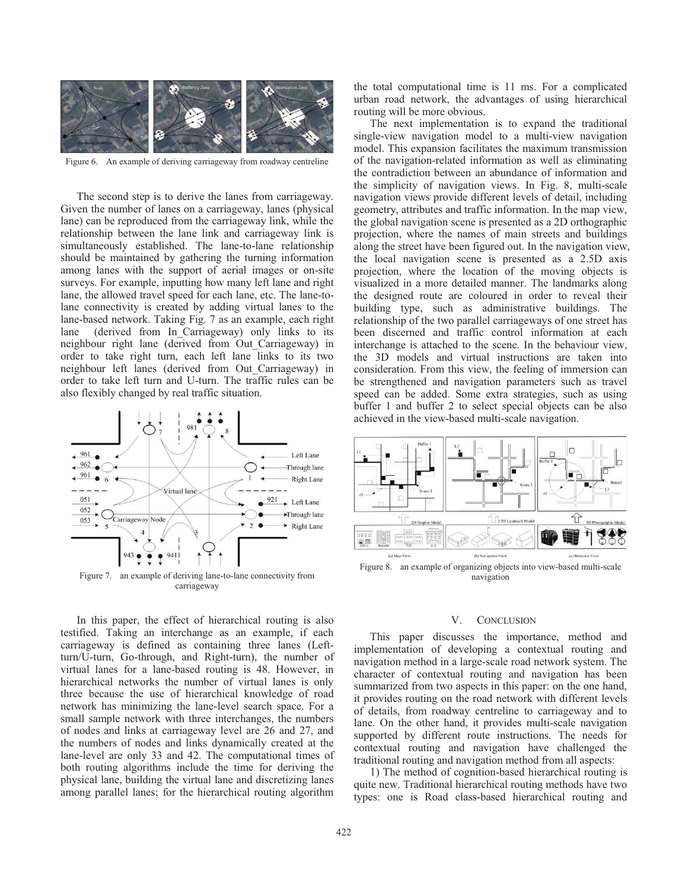

Figure 6. An example of deriving carriageway from roadway centreline

The second step is to derive the lanes from carriageway. Given the number of lanes on a carriageway, lanes (physical lane) can be reproduced from the carriageway link, while the relationship between the lane link and carriageway link is simultaneously established. The lane-to-lane relationship should be maintained by gathering the turning information among lanes with the support of aerial images or on-site surveys. For example, inputting how many left lane and right lane, the allowed travel speed for each lane, etc. The lane-tolane connectivity is created by adding virtual lanes to the lane-based network. Taking Fig. 7 as an example, each right lane (derived from In Carriageway) only links to its neighbour right lane (derived from Out\_Carriageway) in order to take right turn, each left lane links to its two neighbour left lanes (derived from Out\_Carriageway) in order to take left turn and U-turn. The traffic rules can be also flexibly changed by real traffic situation.



In this paper, the effect of hierarchical routing is also testified. Taking an interchange as an example, if each carriageway is defined as containing three lanes (Leftturn/U-turn, Go-through, and Right-turn), the number of virtual lanes for a lane-based routing is 48. However, in hierarchical networks the number of virtual lanes is only three because the use of hierarchical knowledge of road network has minimizing the lane-level search space. For a small sample network with three interchanges, the numbers of nodes and links at carriageway level are 26 and 27, and the numbers of nodes and links dynamically created at the lane-level are only 33 and 42. The computational times of both routing algorithms include the time for deriving the physical lane, building the virtual lane and discretizing lanes among parallel lanes; for the hierarchical routing algorithm

the total computational time is 11 ms. For a complicated urban road network, the advantages of using hierarchical routing will be more obvious.

The next implementation is to expand the traditional single-view navigation model to a multi-view navigation model. This expansion facilitates the maximum transmission of the navigation-related information as well as eliminating the contradiction between an abundance of information and the simplicity of navigation views. In Fig. 8, multi-scale navigation views provide different levels of detail, including geometry, attributes and traffic information. In the map view, the global navigation scene is presented as a 2D orthographic projection, where the names of main streets and buildings along the street have been figured out. In the navigation view, the local navigation scene is presented as a 2.5D axis projection, where the location of the moving objects is visualized in a more detailed manner. The landmarks along the designed route are coloured in order to reveal their building type, such as administrative buildings. The relationship of the two parallel carriageways of one street has been discerned and traffic control information at each interchange is attached to the scene. In the behaviour view, the 3D models and virtual instructions are taken into consideration. From this view, the feeling of immersion can be strengthened and navigation parameters such as travel speed can be added. Some extra strategies, such as using buffer 1 and buffer 2 to select special objects can be also achieved in the view-based multi-scale navigation.



Figure 8. an example of organizing objects into view-based multi-scale navigation

## V. CONCLUSION

This paper discusses the importance, method and implementation of developing a contextual routing and navigation method in a large-scale road network system. The character of contextual routing and navigation has been summarized from two aspects in this paper: on the one hand, it provides routing on the road network with different levels of details, from roadway centreline to carriageway and to lane. On the other hand, it provides multi-scale navigation supported by different route instructions. The needs for contextual routing and navigation have challenged the traditional routing and navigation method from all aspects:

1) The method of cognition-based hierarchical routing is quite new. Traditional hierarchical routing methods have two types: one is Road class-based hierarchical routing and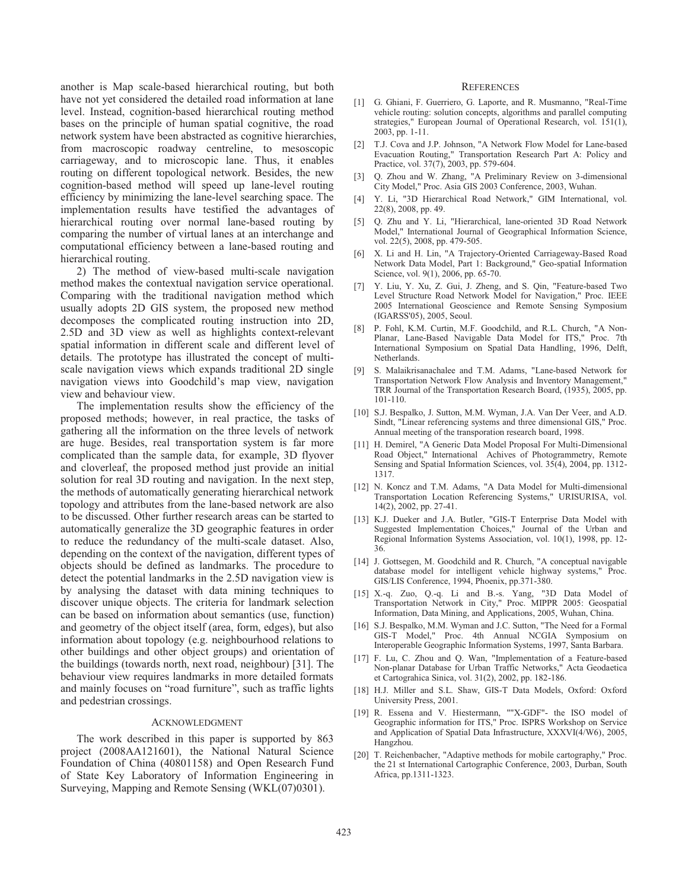another is Map scale-based hierarchical routing, but both have not yet considered the detailed road information at lane level. Instead, cognition-based hierarchical routing method bases on the principle of human spatial cognitive, the road network system have been abstracted as cognitive hierarchies, from macroscopic roadway centreline, to mesoscopic carriageway, and to microscopic lane. Thus, it enables routing on different topological network. Besides, the new cognition-based method will speed up lane-level routing efficiency by minimizing the lane-level searching space. The implementation results have testified the advantages of hierarchical routing over normal lane-based routing by comparing the number of virtual lanes at an interchange and computational efficiency between a lane-based routing and hierarchical routing.

2) The method of view-based multi-scale navigation method makes the contextual navigation service operational. Comparing with the traditional navigation method which usually adopts 2D GIS system, the proposed new method decomposes the complicated routing instruction into 2D, 2.5D and 3D view as well as highlights context-relevant spatial information in different scale and different level of details. The prototype has illustrated the concept of multiscale navigation views which expands traditional 2D single navigation views into Goodchild's map view, navigation view and behaviour view.

The implementation results show the efficiency of the proposed methods; however, in real practice, the tasks of gathering all the information on the three levels of network are huge. Besides, real transportation system is far more complicated than the sample data, for example, 3D flyover and cloverleaf, the proposed method just provide an initial solution for real 3D routing and navigation. In the next step, the methods of automatically generating hierarchical network topology and attributes from the lane-based network are also to be discussed. Other further research areas can be started to automatically generalize the 3D geographic features in order to reduce the redundancy of the multi-scale dataset. Also, depending on the context of the navigation, different types of objects should be defined as landmarks. The procedure to detect the potential landmarks in the 2.5D navigation view is by analysing the dataset with data mining techniques to discover unique objects. The criteria for landmark selection can be based on information about semantics (use, function) and geometry of the object itself (area, form, edges), but also information about topology (e.g. neighbourhood relations to other buildings and other object groups) and orientation of the buildings (towards north, next road, neighbour) [31]. The behaviour view requires landmarks in more detailed formats and mainly focuses on "road furniture", such as traffic lights and pedestrian crossings.

#### ACKNOWLEDGMENT

The work described in this paper is supported by 863 project (2008AA121601), the National Natural Science Foundation of China (40801158) and Open Research Fund of State Key Laboratory of Information Engineering in Surveying, Mapping and Remote Sensing (WKL(07)0301).

#### **REFERENCES**

- [1] G. Ghiani, F. Guerriero, G. Laporte, and R. Musmanno, "Real-Time vehicle routing: solution concepts, algorithms and parallel computing strategies," European Journal of Operational Research, vol. 151(1), 2003, pp. 1-11.
- [2] T.J. Cova and J.P. Johnson, "A Network Flow Model for Lane-based Evacuation Routing," Transportation Research Part A: Policy and Practice, vol. 37(7), 2003, pp. 579-604.
- [3] Q. Zhou and W. Zhang, "A Preliminary Review on 3-dimensional City Model," Proc. Asia GIS 2003 Conference, 2003, Wuhan.
- [4] Y. Li, "3D Hierarchical Road Network," GIM International, vol. 22(8), 2008, pp. 49.
- [5] Q. Zhu and Y. Li, "Hierarchical, lane-oriented 3D Road Network Model," International Journal of Geographical Information Science, vol. 22(5), 2008, pp. 479-505.
- [6] X. Li and H. Lin, "A Trajectory-Oriented Carriageway-Based Road Network Data Model, Part 1: Background," Geo-spatiaI Information Science, vol. 9(1), 2006, pp. 65-70.
- [7] Y. Liu, Y. Xu, Z. Gui, J. Zheng, and S. Qin, "Feature-based Two Level Structure Road Network Model for Navigation," Proc. IEEE 2005 International Geoscience and Remote Sensing Symposium (IGARSS'05), 2005, Seoul.
- P. Fohl, K.M. Curtin, M.F. Goodchild, and R.L. Church, "A Non-Planar, Lane-Based Navigable Data Model for ITS," Proc. 7th International Symposium on Spatial Data Handling, 1996, Delft, Netherlands.
- [9] S. Malaikrisanachalee and T.M. Adams, "Lane-based Network for Transportation Network Flow Analysis and Inventory Management," TRR Journal of the Transportation Research Board, (1935), 2005, pp. 101-110.
- [10] S.J. Bespalko, J. Sutton, M.M. Wyman, J.A. Van Der Veer, and A.D. Sindt, "Linear referencing systems and three dimensional GIS," Proc. Annual meeting of the transporation research board, 1998.
- [11] H. Demirel, "A Generic Data Model Proposal For Multi-Dimensional Road Object," International Achives of Photogrammetry, Remote Sensing and Spatial Information Sciences, vol. 35(4), 2004, pp. 1312- 1317.
- [12] N. Koncz and T.M. Adams, "A Data Model for Multi-dimensional Transportation Location Referencing Systems," URISURISA, vol. 14(2), 2002, pp. 27-41.
- [13] K.J. Dueker and J.A. Butler, "GIS-T Enterprise Data Model with Suggested Implementation Choices," Journal of the Urban and Regional Information Systems Association, vol. 10(1), 1998, pp. 12- 36.
- [14] J. Gottsegen, M. Goodchild and R. Church, "A conceptual navigable database model for intelligent vehicle highway systems," Proc. GIS/LIS Conference, 1994, Phoenix, pp.371-380.
- [15] X.-q. Zuo, Q.-q. Li and B.-s. Yang, "3D Data Model of Transportation Network in City," Proc. MIPPR 2005: Geospatial Information, Data Mining, and Applications, 2005, Wuhan, China.
- [16] S.J. Bespalko, M.M. Wyman and J.C. Sutton, "The Need for a Formal GIS-T Model," Proc. 4th Annual NCGIA Symposium on Interoperable Geographic Information Systems, 1997, Santa Barbara.
- [17] F. Lu, C. Zhou and Q. Wan, "Implementation of a Feature-based Non-planar Database for Urban Traffic Networks," Acta Geodaetica et Cartograhica Sinica, vol. 31(2), 2002, pp. 182-186.
- [18] H.J. Miller and S.L. Shaw, GIS-T Data Models, Oxford: Oxford University Press, 2001.
- [19] R. Essena and V. Hiestermann, ""X-GDF"- the ISO model of Geographic information for ITS," Proc. ISPRS Workshop on Service and Application of Spatial Data Infrastructure, XXXVI(4/W6), 2005, Hangzhou.
- [20] T. Reichenbacher, "Adaptive methods for mobile cartography," Proc. the 21 st International Cartographic Conference, 2003, Durban, South Africa, pp.1311-1323.